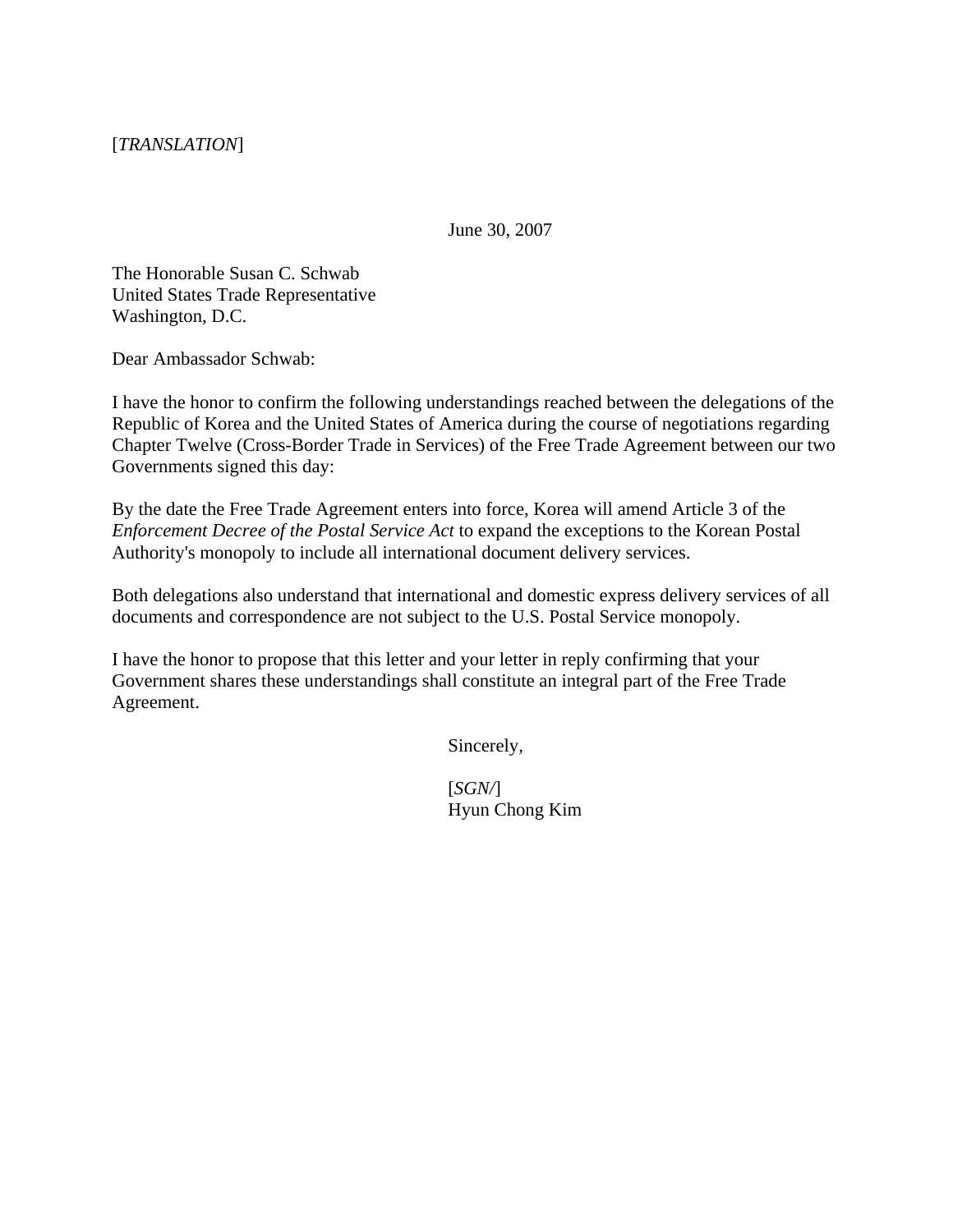June 30, 2007

The Honorable Susan C. Schwab United States Trade Representative Washington, D.C.

Dear Ambassador Schwab:

I have the honor to confirm the following understandings reached between the delegations of the Republic of Korea and the United States of America during the course of negotiations regarding Chapter Twelve (Cross-Border Trade in Services) of the Free Trade Agreement between our two Governments signed this day:

By the date the Free Trade Agreement enters into force, Korea will amend Article 3 of the *Enforcement Decree of the Postal Service Act* to expand the exceptions to the Korean Postal Authority's monopoly to include all international document delivery services.

Both delegations also understand that international and domestic express delivery services of all documents and correspondence are not subject to the U.S. Postal Service monopoly.

I have the honor to propose that this letter and your letter in reply confirming that your Government shares these understandings shall constitute an integral part of the Free Trade Agreement.

Sincerely,

[*SGN/*] Hyun Chong Kim